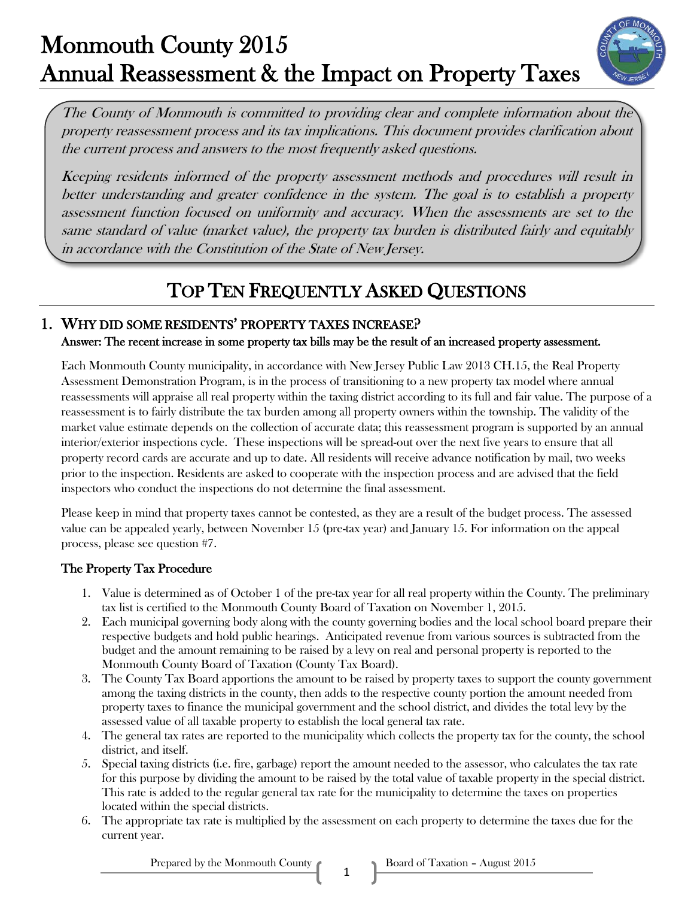# Monmouth County 2015 Annual Reassessment & the Impact on Property Taxes



The County of Monmouth is committed to providing clear and complete information about the property reassessment process and its tax implications. This document provides clarification about the current process and answers to the most frequently asked questions.

Keeping residents informed of the property assessment methods and procedures will result in better understanding and greater confidence in the system. The goal is to establish a property assessment function focused on uniformity and accuracy. When the assessments are set to the same standard of value (market value), the property tax burden is distributed fairly and equitably in accordance with the Constitution of the State of New Jersey.

# TOP TEN FREQUENTLY ASKED QUESTIONS

## 1. WHY DID SOME RESIDENTS' PROPERTY TAXES INCREASE? Answer: The recent increase in some property tax bills may be the result of an increased property assessment.

Each Monmouth County municipality, in accordance with New Jersey Public Law 2013 CH.15, the Real Property Assessment Demonstration Program, is in the process of transitioning to a new property tax model where annual reassessments will appraise all real property within the taxing district according to its full and fair value. The purpose of a reassessment is to fairly distribute the tax burden among all property owners within the township. The validity of the market value estimate depends on the collection of accurate data; this reassessment program is supported by an annual interior/exterior inspections cycle. These inspections will be spread-out over the next five years to ensure that all property record cards are accurate and up to date. All residents will receive advance notification by mail, two weeks prior to the inspection. Residents are asked to cooperate with the inspection process and are advised that the field inspectors who conduct the inspections do not determine the final assessment.

Please keep in mind that property taxes cannot be contested, as they are a result of the budget process. The assessed value can be appealed yearly, between November 15 (pre-tax year) and January 15. For information on the appeal process, please see question #7.

## The Property Tax Procedure

- 1. Value is determined as of October 1 of the pre-tax year for all real property within the County. The preliminary tax list is certified to the Monmouth County Board of Taxation on November 1, 2015.
- 2. Each municipal governing body along with the county governing bodies and the local school board prepare their respective budgets and hold public hearings. Anticipated revenue from various sources is subtracted from the budget and the amount remaining to be raised by a levy on real and personal property is reported to the Monmouth County Board of Taxation (County Tax Board).
- 3. The County Tax Board apportions the amount to be raised by property taxes to support the county government among the taxing districts in the county, then adds to the respective county portion the amount needed from property taxes to finance the municipal government and the school district, and divides the total levy by the assessed value of all taxable property to establish the local general tax rate.
- 4. The general tax rates are reported to the municipality which collects the property tax for the county, the school district, and itself.
- 5. Special taxing districts (i.e. fire, garbage) report the amount needed to the assessor, who calculates the tax rate for this purpose by dividing the amount to be raised by the total value of taxable property in the special district. This rate is added to the regular general tax rate for the municipality to determine the taxes on properties located within the special districts.
- 6. The appropriate tax rate is multiplied by the assessment on each property to determine the taxes due for the current year.

Prepared by the Monmouth County  $\epsilon$  Board of Taxation – August 2015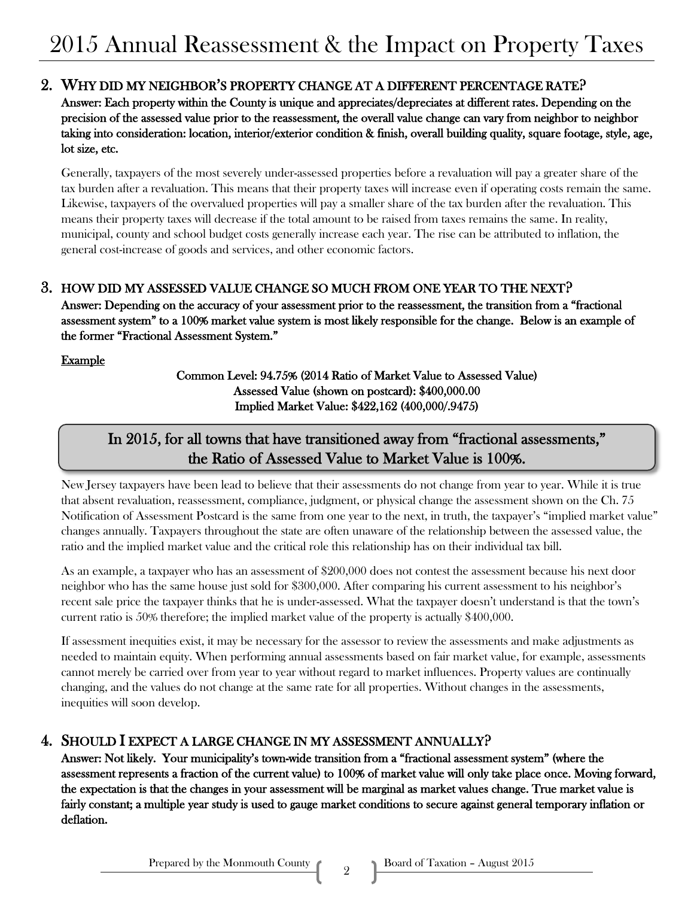## 2. WHY DID MY NEIGHBOR'S PROPERTY CHANGE AT A DIFFERENT PERCENTAGE RATE?

Answer: Each property within the County is unique and appreciates/depreciates at different rates. Depending on the precision of the assessed value prior to the reassessment, the overall value change can vary from neighbor to neighbor taking into consideration: location, interior/exterior condition & finish, overall building quality, square footage, style, age, lot size, etc.

Generally, taxpayers of the most severely under-assessed properties before a revaluation will pay a greater share of the tax burden after a revaluation. This means that their property taxes will increase even if operating costs remain the same. Likewise, taxpayers of the overvalued properties will pay a smaller share of the tax burden after the revaluation. This means their property taxes will decrease if the total amount to be raised from taxes remains the same. In reality, municipal, county and school budget costs generally increase each year. The rise can be attributed to inflation, the general cost-increase of goods and services, and other economic factors.

### 3. HOW DID MY ASSESSED VALUE CHANGE SO MUCH FROM ONE YEAR TO THE NEXT?

Answer: Depending on the accuracy of your assessment prior to the reassessment, the transition from a "fractional assessment system" to a 100% market value system is most likely responsible for the change. Below is an example of the former "Fractional Assessment System."

**Example** 

Common Level: 94.75% (2014 Ratio of Market Value to Assessed Value) Assessed Value (shown on postcard): \$400,000.00 Implied Market Value: \$422,162 (400,000/.9475)

## In 2015, for all towns that have transitioned away from "fractional assessments," the Ratio of Assessed Value to Market Value is 100%.

l

New Jersey taxpayers have been lead to believe that their assessments do not change from year to year. While it is true that absent revaluation, reassessment, compliance, judgment, or physical change the assessment shown on the Ch. 75 Notification of Assessment Postcard is the same from one year to the next, in truth, the taxpayer's "implied market value" changes annually. Taxpayers throughout the state are often unaware of the relationship between the assessed value, the ratio and the implied market value and the critical role this relationship has on their individual tax bill.

As an example, a taxpayer who has an assessment of \$200,000 does not contest the assessment because his next door neighbor who has the same house just sold for \$300,000. After comparing his current assessment to his neighbor's recent sale price the taxpayer thinks that he is under-assessed. What the taxpayer doesn't understand is that the town's current ratio is 50% therefore; the implied market value of the property is actually \$400,000.

If assessment inequities exist, it may be necessary for the assessor to review the assessments and make adjustments as needed to maintain equity. When performing annual assessments based on fair market value, for example, assessments cannot merely be carried over from year to year without regard to market influences. Property values are continually changing, and the values do not change at the same rate for all properties. Without changes in the assessments, inequities will soon develop.

## 4. SHOULD I EXPECT A LARGE CHANGE IN MY ASSESSMENT ANNUALLY?

Answer: Not likely. Your municipality's town-wide transition from a "fractional assessment system" (where the assessment represents a fraction of the current value) to 100% of market value will only take place once. Moving forward, the expectation is that the changes in your assessment will be marginal as market values change. True market value is fairly constant; a multiple year study is used to gauge market conditions to secure against general temporary inflation or deflation.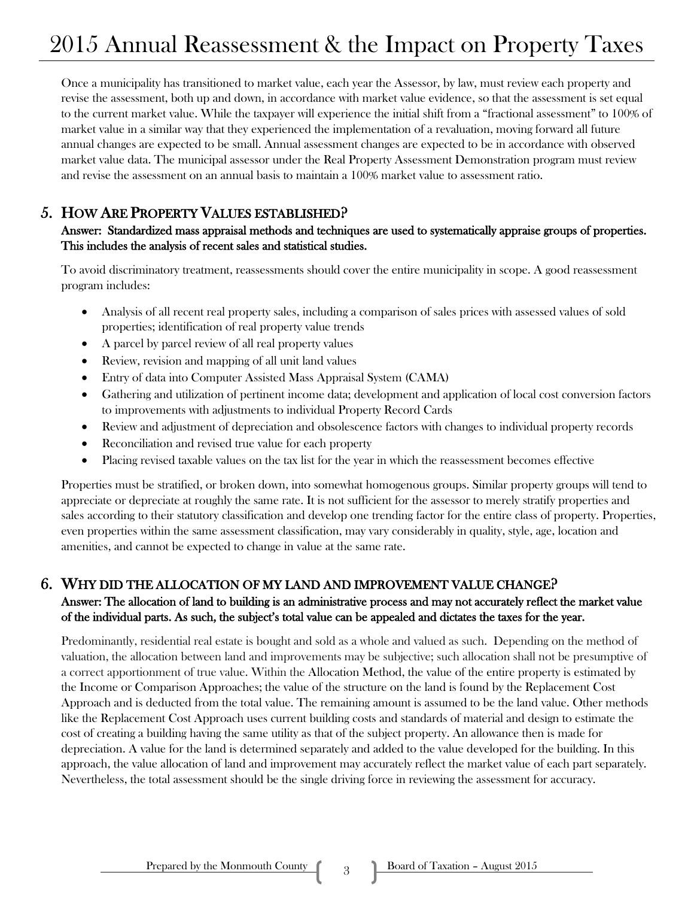Once a municipality has transitioned to market value, each year the Assessor, by law, must review each property and revise the assessment, both up and down, in accordance with market value evidence, so that the assessment is set equal to the current market value. While the taxpayer will experience the initial shift from a "fractional assessment" to 100% of market value in a similar way that they experienced the implementation of a revaluation, moving forward all future annual changes are expected to be small. Annual assessment changes are expected to be in accordance with observed market value data. The municipal assessor under the Real Property Assessment Demonstration program must review and revise the assessment on an annual basis to maintain a 100% market value to assessment ratio.

## 5. HOW ARE PROPERTY VALUES ESTABLISHED?

#### Answer: Standardized mass appraisal methods and techniques are used to systematically appraise groups of properties. This includes the analysis of recent sales and statistical studies.

To avoid discriminatory treatment, reassessments should cover the entire municipality in scope. A good reassessment program includes:

- Analysis of all recent real property sales, including a comparison of sales prices with assessed values of sold properties; identification of real property value trends
- A parcel by parcel review of all real property values
- Review, revision and mapping of all unit land values
- Entry of data into Computer Assisted Mass Appraisal System (CAMA)
- Gathering and utilization of pertinent income data; development and application of local cost conversion factors to improvements with adjustments to individual Property Record Cards
- Review and adjustment of depreciation and obsolescence factors with changes to individual property records
- Reconciliation and revised true value for each property
- Placing revised taxable values on the tax list for the year in which the reassessment becomes effective

Properties must be stratified, or broken down, into somewhat homogenous groups. Similar property groups will tend to appreciate or depreciate at roughly the same rate. It is not sufficient for the assessor to merely stratify properties and sales according to their statutory classification and develop one trending factor for the entire class of property. Properties, even properties within the same assessment classification, may vary considerably in quality, style, age, location and amenities, and cannot be expected to change in value at the same rate.

## 6. WHY DID THE ALLOCATION OF MY LAND AND IMPROVEMENT VALUE CHANGE?

### Answer: The allocation of land to building is an administrative process and may not accurately reflect the market value of the individual parts. As such, the subject's total value can be appealed and dictates the taxes for the year.

Predominantly, residential real estate is bought and sold as a whole and valued as such. Depending on the method of valuation, the allocation between land and improvements may be subjective; such allocation shall not be presumptive of a correct apportionment of true value. Within the Allocation Method, the value of the entire property is estimated by the Income or Comparison Approaches; the value of the structure on the land is found by the Replacement Cost Approach and is deducted from the total value. The remaining amount is assumed to be the land value. Other methods like the Replacement Cost Approach uses current building costs and standards of material and design to estimate the cost of creating a building having the same utility as that of the subject property. An allowance then is made for depreciation. A value for the land is determined separately and added to the value developed for the building. In this approach, the value allocation of land and improvement may accurately reflect the market value of each part separately. Nevertheless, the total assessment should be the single driving force in reviewing the assessment for accuracy.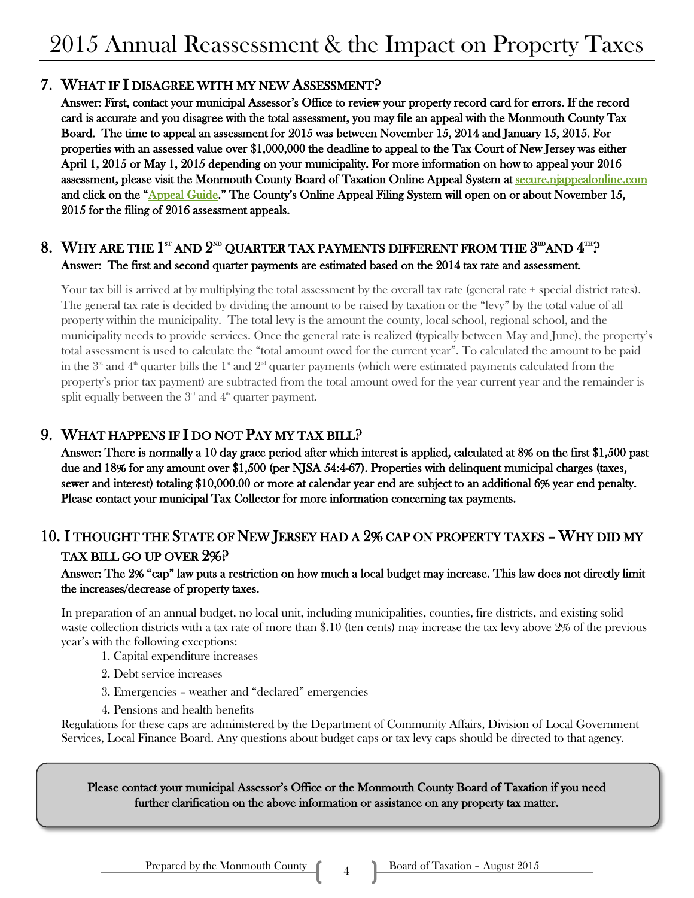## 7. WHAT IF I DISAGREE WITH MY NEW ASSESSMENT?

Answer: First, contact your municipal Assessor's Office to review your property record card for errors. If the record card is accurate and you disagree with the total assessment, you may file an appeal with the Monmouth County Tax Board. The time to appeal an assessment for 2015 was between November 15, 2014 and January 15, 2015. For properties with an assessed value over \$1,000,000 the deadline to appeal to the Tax Court of New Jersey was either April 1, 2015 or May 1, 2015 depending on your municipality. For more information on how to appeal your 2016 assessment, please visit the Monmouth County Board of Taxation Online Appeal System a[t secure.njappealonline.com](https://secure.njappealonline.com/prodappeals/login.aspx)  and click on the ["Appeal Guide."](https://secure.njappealonline.com/prodappeals/help/InstructionsHandbook_2015.pdf) The County's Online Appeal Filing System will open on or about November 15, 2015 for the filing of 2016 assessment appeals.

## 8. WHY ARE THE  $1^{\mathrm{sr}}$  and  $2^{\mathrm{mb}}$  quarter tax payments different from the  $3^{\mathrm{mb}}$ and  $4^{\mathrm{mb}}$ ? Answer: The first and second quarter payments are estimated based on the 2014 tax rate and assessment.

Your tax bill is arrived at by multiplying the total assessment by the overall tax rate (general rate + special district rates). The general tax rate is decided by dividing the amount to be raised by taxation or the "levy" by the total value of all property within the municipality. The total levy is the amount the county, local school, regional school, and the municipality needs to provide services. Once the general rate is realized (typically between May and June), the property's total assessment is used to calculate the "total amount owed for the current year". To calculated the amount to be paid in the  $3<sup>nd</sup>$  and  $4<sup>th</sup>$  quarter bills the  $1<sup>st</sup>$  and  $2<sup>nd</sup>$  quarter payments (which were estimated payments calculated from the property's prior tax payment) are subtracted from the total amount owed for the year current year and the remainder is split equally between the  $3<sup>rd</sup>$  and  $4<sup>th</sup>$  quarter payment.

## 9. WHAT HAPPENS IF I DO NOT PAY MY TAX BILL?

Answer: There is normally a 10 day grace period after which interest is applied, calculated at 8% on the first \$1,500 past due and 18% for any amount over \$1,500 (per NJSA 54:4-67). Properties with delinquent municipal charges (taxes, sewer and interest) totaling \$10,000.00 or more at calendar year end are subject to an additional 6% year end penalty. Please contact your municipal Tax Collector for more information concerning tax payments.

## 10. I THOUGHT THE STATE OF NEW JERSEY HAD A 2% CAP ON PROPERTY TAXES – WHY DID MY TAX BILL GO UP OVER 2%?

### Answer: The 2% "cap" law puts a restriction on how much a local budget may increase. This law does not directly limit the increases/decrease of property taxes.

In preparation of an annual budget, no local unit, including municipalities, counties, fire districts, and existing solid waste collection districts with a tax rate of more than \$.10 (ten cents) may increase the tax levy above 2% of the previous year's with the following exceptions:

- 1. Capital expenditure increases
- 2. Debt service increases
- 3. Emergencies weather and "declared" emergencies
- 4. Pensions and health benefits

Regulations for these caps are administered by the Department of Community Affairs, Division of Local Government Services, Local Finance Board. Any questions about budget caps or tax levy caps should be directed to that agency.

Please contact your municipal Assessor's Office or the Monmouth County Board of Taxation if you need further clarification on the above information or assistance on any property tax matter.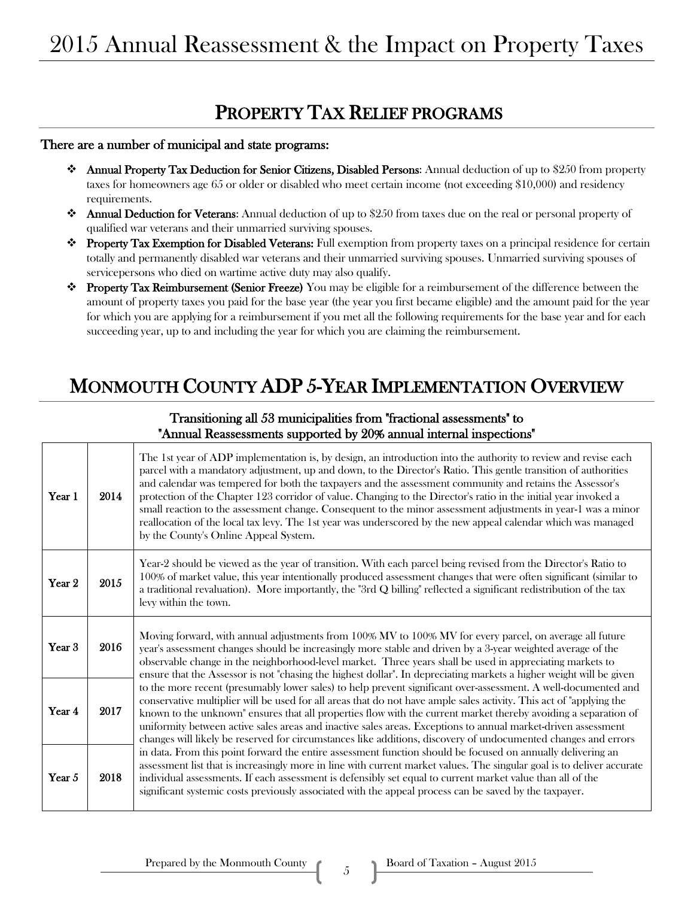# PROPERTY TAX RELIEF PROGRAMS

#### There are a number of municipal and state programs:

- Annual Property Tax Deduction for Senior Citizens, Disabled Persons: Annual deduction of up to \$250 from property taxes for homeowners age 65 or older or disabled who meet certain income (not exceeding \$10,000) and residency requirements.
- Annual Deduction for Veterans: Annual deduction of up to \$250 from taxes due on the real or personal property of qualified war veterans and their unmarried surviving spouses.
- Property Tax Exemption for Disabled Veterans: Full exemption from property taxes on a principal residence for certain totally and permanently disabled war veterans and their unmarried surviving spouses. Unmarried surviving spouses of servicepersons who died on wartime active duty may also qualify.
- Property Tax Reimbursement (Senior Freeze) You may be eligible for a reimbursement of the difference between the amount of property taxes you paid for the base year (the year you first became eligible) and the amount paid for the year for which you are applying for a reimbursement if you met all the following requirements for the base year and for each succeeding year, up to and including the year for which you are claiming the reimbursement.

## MONMOUTH COUNTY ADP 5-YEAR IMPLEMENTATION OVERVIEW

|        | Allindal Reassessments supported by 20% annual internations respections |                                                                                                                                                                                                                                                                                                                                                                                                                                                                                                                                                                                                                                                                                                                                             |  |  |  |  |
|--------|-------------------------------------------------------------------------|---------------------------------------------------------------------------------------------------------------------------------------------------------------------------------------------------------------------------------------------------------------------------------------------------------------------------------------------------------------------------------------------------------------------------------------------------------------------------------------------------------------------------------------------------------------------------------------------------------------------------------------------------------------------------------------------------------------------------------------------|--|--|--|--|
| Year 1 | 2014                                                                    | The 1st year of ADP implementation is, by design, an introduction into the authority to review and revise each<br>parcel with a mandatory adjustment, up and down, to the Director's Ratio. This gentle transition of authorities<br>and calendar was tempered for both the taxpayers and the assessment community and retains the Assessor's<br>protection of the Chapter 123 corridor of value. Changing to the Director's ratio in the initial year invoked a<br>small reaction to the assessment change. Consequent to the minor assessment adjustments in year-1 was a minor<br>reallocation of the local tax levy. The 1st year was underscored by the new appeal calendar which was managed<br>by the County's Online Appeal System. |  |  |  |  |
| Year 2 | 2015                                                                    | Year-2 should be viewed as the year of transition. With each parcel being revised from the Director's Ratio to<br>100% of market value, this year intentionally produced assessment changes that were often significant (similar to<br>a traditional revaluation). More importantly, the "3rd Q billing" reflected a significant redistribution of the tax<br>levy within the town.                                                                                                                                                                                                                                                                                                                                                         |  |  |  |  |
| Year 3 | 2016                                                                    | Moving forward, with annual adjustments from 100% MV to 100% MV for every parcel, on average all future<br>year's assessment changes should be increasingly more stable and driven by a 3-year weighted average of the<br>observable change in the neighborhood-level market. Three years shall be used in appreciating markets to<br>ensure that the Assessor is not "chasing the highest dollar". In depreciating markets a higher weight will be given                                                                                                                                                                                                                                                                                   |  |  |  |  |
| Year 4 | 2017                                                                    | to the more recent (presumably lower sales) to help prevent significant over-assessment. A well-documented and<br>conservative multiplier will be used for all areas that do not have ample sales activity. This act of "applying the<br>known to the unknown" ensures that all properties flow with the current market thereby avoiding a separation of<br>uniformity between active sales areas and inactive sales areas. Exceptions to annual market-driven assessment<br>changes will likely be reserved for circumstances like additions, discovery of undocumented changes and errors                                                                                                                                                 |  |  |  |  |
| Year 5 | 2018                                                                    | in data. From this point forward the entire assessment function should be focused on annually delivering an<br>assessment list that is increasingly more in line with current market values. The singular goal is to deliver accurate<br>individual assessments. If each assessment is defensibly set equal to current market value than all of the<br>significant systemic costs previously associated with the appeal process can be saved by the taxpayer.                                                                                                                                                                                                                                                                               |  |  |  |  |

#### Transitioning all 53 municipalities from "fractional assessments" to the supported by 2004 annual internal inspections"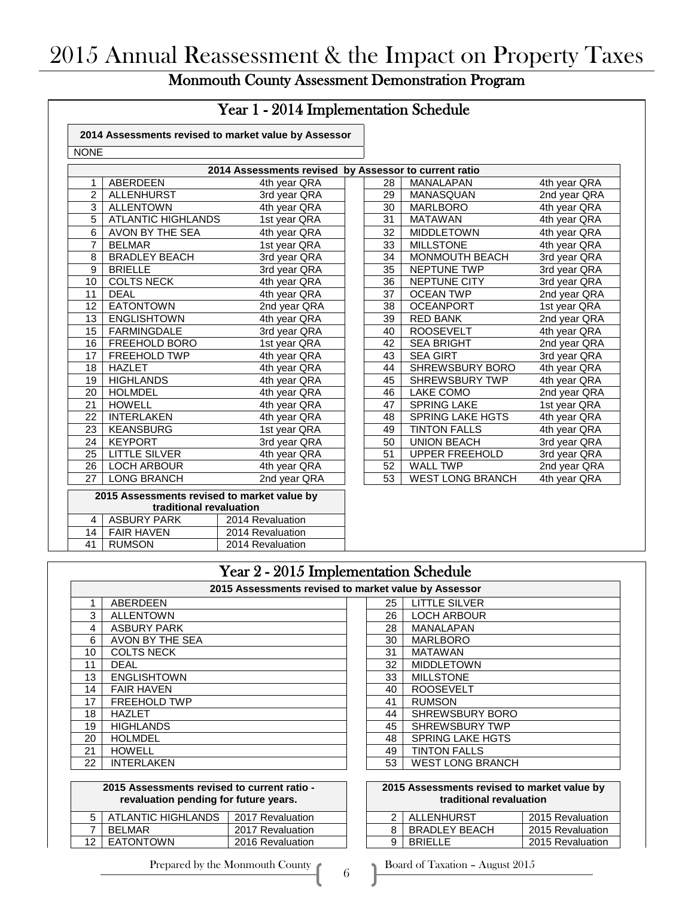## Monmouth County Assessment Demonstration Program

## Year 1 - 2014 Implementation Schedule

**2014 Assessments revised to market value by Assessor** NONE

|                |                                             | 2014 Assessments revised by Assessor to current ratio |    |                         |              |
|----------------|---------------------------------------------|-------------------------------------------------------|----|-------------------------|--------------|
| 1              | ABERDEEN                                    | 4th year QRA                                          | 28 | <b>MANALAPAN</b>        | 4th year QRA |
| $\overline{2}$ | ALLENHURST                                  | 3rd year QRA                                          | 29 | MANASQUAN               | 2nd year QRA |
| 3              | <b>ALLENTOWN</b>                            | 4th year QRA                                          | 30 | <b>MARLBORO</b>         | 4th year QRA |
| 5              | <b>ATLANTIC HIGHLANDS</b>                   | 1st year QRA                                          | 31 | <b>MATAWAN</b>          | 4th year QRA |
| 6              | AVON BY THE SEA                             | 4th year QRA                                          | 32 | <b>MIDDLETOWN</b>       | 4th year QRA |
| 7              | <b>BELMAR</b>                               | 1st year QRA                                          | 33 | <b>MILLSTONE</b>        | 4th year QRA |
| 8              | <b>BRADLEY BEACH</b>                        | 3rd year QRA                                          | 34 | MONMOUTH BEACH          | 3rd year QRA |
| 9              | <b>BRIELLE</b>                              | 3rd year QRA                                          | 35 | NEPTUNE TWP             | 3rd year QRA |
| 10             | <b>COLTS NECK</b>                           | 4th year QRA                                          | 36 | NEPTUNE CITY            | 3rd year QRA |
| 11             | <b>DEAL</b>                                 | 4th year QRA                                          | 37 | <b>OCEAN TWP</b>        | 2nd year QRA |
| 12             | <b>EATONTOWN</b>                            | 2nd year QRA                                          | 38 | <b>OCEANPORT</b>        | 1st year QRA |
| 13             | <b>ENGLISHTOWN</b>                          | 4th year QRA                                          | 39 | <b>RED BANK</b>         | 2nd year QRA |
| 15             | <b>FARMINGDALE</b>                          | 3rd year QRA                                          | 40 | <b>ROOSEVELT</b>        | 4th year QRA |
| 16             | <b>FREEHOLD BORO</b>                        | 1st year QRA                                          | 42 | <b>SEA BRIGHT</b>       | 2nd year QRA |
| 17             | <b>FREEHOLD TWP</b>                         | 4th year QRA                                          | 43 | <b>SEA GIRT</b>         | 3rd year QRA |
| 18             | <b>HAZLET</b>                               | 4th year QRA                                          | 44 | SHREWSBURY BORO         | 4th year QRA |
| 19             | <b>HIGHLANDS</b>                            | 4th year QRA                                          | 45 | <b>SHREWSBURY TWP</b>   | 4th year QRA |
| 20             | <b>HOLMDEL</b>                              | 4th year QRA                                          | 46 | LAKE COMO               | 2nd year QRA |
| 21             | <b>HOWELL</b>                               | 4th year QRA                                          | 47 | <b>SPRING LAKE</b>      | 1st year QRA |
| 22             | <b>INTERLAKEN</b>                           | 4th year QRA                                          | 48 | <b>SPRING LAKE HGTS</b> | 4th year QRA |
| 23             | <b>KEANSBURG</b>                            | 1st year QRA                                          | 49 | <b>TINTON FALLS</b>     | 4th year QRA |
| 24             | <b>KEYPORT</b>                              | 3rd year QRA                                          | 50 | <b>UNION BEACH</b>      | 3rd year QRA |
| 25             | <b>LITTLE SILVER</b>                        | 4th year QRA                                          | 51 | <b>UPPER FREEHOLD</b>   | 3rd year QRA |
| 26             | <b>LOCH ARBOUR</b>                          | 4th year QRA                                          | 52 | <b>WALL TWP</b>         | 2nd year QRA |
| 27             | <b>LONG BRANCH</b>                          | 2nd year QRA                                          | 53 | <b>WEST LONG BRANCH</b> | 4th year QRA |
|                | 2015 Assessments revised to market value by |                                                       |    |                         |              |
|                | traditional revaluation                     |                                                       |    |                         |              |
| 4              | <b>ASBURY PARK</b>                          | 2014 Revaluation                                      |    |                         |              |
| 14             | <b>FAIR HAVEN</b>                           | 2014 Revaluation                                      |    |                         |              |
| 41             | <b>RUMSON</b>                               | 2014 Revaluation                                      |    |                         |              |

|    | <b>Assessor to current ratio</b> |              |
|----|----------------------------------|--------------|
| 28 | MANALAPAN                        | 4th year QRA |
| 29 | MANASQUAN                        | 2nd year QRA |
| 30 | <b>MARLBORO</b>                  | 4th year QRA |
| 31 | MATAWAN                          | 4th year QRA |
| 32 | <b>MIDDLETOWN</b>                | 4th year QRA |
| 33 | <b>MILLSTONE</b>                 | 4th year QRA |
| 34 | MONMOUTH BEACH                   | 3rd year QRA |
| 35 | NEPTUNE TWP                      | 3rd year QRA |
| 36 | <b>NEPTUNE CITY</b>              | 3rd year QRA |
| 37 | <b>OCEAN TWP</b>                 | 2nd year QRA |
| 38 | <b>OCEANPORT</b>                 | 1st year QRA |
| 39 | RED BANK                         | 2nd year QRA |
| 40 | <b>ROOSEVELT</b>                 | 4th year QRA |
| 42 | <b>SEA BRIGHT</b>                | 2nd year QRA |
| 43 | <b>SEA GIRT</b>                  | 3rd year QRA |
| 44 | <b>SHREWSBURY BORO</b>           | 4th year QRA |
| 45 | <b>SHREWSBURY TWP</b>            | 4th year QRA |
| 46 | <b>LAKE COMO</b>                 | 2nd year QRA |
| 47 | <b>SPRING LAKE</b>               | 1st year QRA |
| 48 | SPRING LAKE HGTS                 | 4th year QRA |
| 49 | <b>TINTON FALLS</b>              | 4th year QRA |
| 50 | <b>UNION BEACH</b>               | 3rd year QRA |
| 51 | <b>UPPER FREEHOLD</b>            | 3rd year QRA |
| 52 | WALL TWP                         | 2nd year QRA |
| 53 | <b>WEST LONG BRANCH</b>          | 4th year QRA |
|    |                                  |              |

| Year 2 - 2015 Implementation Schedule |
|---------------------------------------|
|---------------------------------------|

|    | 2015 Assessments revised to market value by Assessor |    |                         |
|----|------------------------------------------------------|----|-------------------------|
|    | <b>ABERDEEN</b>                                      | 25 | <b>LITTLE SILVER</b>    |
| 3  | <b>ALLENTOWN</b>                                     | 26 | <b>LOCH ARBOUR</b>      |
| 4  | <b>ASBURY PARK</b>                                   | 28 | <b>MANALAPAN</b>        |
| 6  | AVON BY THE SEA                                      | 30 | <b>MARLBORO</b>         |
| 10 | <b>COLTS NECK</b>                                    | 31 | <b>MATAWAN</b>          |
| 11 | <b>DEAL</b>                                          | 32 | <b>MIDDLETOWN</b>       |
| 13 | <b>ENGLISHTOWN</b>                                   | 33 | <b>MILLSTONE</b>        |
| 14 | <b>FAIR HAVEN</b>                                    | 40 | <b>ROOSEVELT</b>        |
| 17 | <b>FREEHOLD TWP</b>                                  | 41 | <b>RUMSON</b>           |
| 18 | <b>HAZLET</b>                                        | 44 | <b>SHREWSBURY BORO</b>  |
| 19 | <b>HIGHLANDS</b>                                     | 45 | <b>SHREWSBURY TWP</b>   |
| 20 | <b>HOLMDEL</b>                                       | 48 | <b>SPRING LAKE HGTS</b> |
| 21 | <b>HOWELL</b>                                        | 49 | <b>TINTON FALLS</b>     |
| 22 | <b>INTERLAKEN</b>                                    | 53 | <b>WEST LONG BRANCH</b> |

| 2015 Assessments revised to current ratio -<br>revaluation pending for future years. |                        |                  |  | 2015 Assessments revised to market value by<br>traditional revaluation |                  |
|--------------------------------------------------------------------------------------|------------------------|------------------|--|------------------------------------------------------------------------|------------------|
|                                                                                      | 5   ATLANTIC HIGHLANDS | 2017 Revaluation |  | 2   ALLENHURST                                                         | 2015 Revaluation |
|                                                                                      | <b>BFLMAR</b>          | 2017 Revaluation |  | <b>BRADLEY BEACH</b>                                                   | 2015 Revaluation |
|                                                                                      | <b>EATONTOWN</b>       | 2016 Revaluation |  | <b>BRIFLLE</b>                                                         | 2015 Revaluation |

|    | arket value by Assessor |  |  |  |  |
|----|-------------------------|--|--|--|--|
| 25 | <b>LITTLE SILVER</b>    |  |  |  |  |
| 26 | <b>LOCH ARBOUR</b>      |  |  |  |  |
| 28 | MANALAPAN               |  |  |  |  |
| 30 | <b>MARLBORO</b>         |  |  |  |  |
| 31 | <b>MATAWAN</b>          |  |  |  |  |
| 32 | <b>MIDDLETOWN</b>       |  |  |  |  |
| 33 | <b>MILLSTONE</b>        |  |  |  |  |
| 40 | <b>ROOSEVELT</b>        |  |  |  |  |
| 41 | <b>RUMSON</b>           |  |  |  |  |
| 44 | <b>SHREWSBURY BORO</b>  |  |  |  |  |
| 45 | <b>SHREWSBURY TWP</b>   |  |  |  |  |
| 48 | <b>SPRING LAKE HGTS</b> |  |  |  |  |
| 49 | <b>TINTON FALLS</b>     |  |  |  |  |
| 53 | <b>WEST LONG BRANCH</b> |  |  |  |  |

|                   | 2015 Assessments revised to market value by<br>traditional revaluation |                  |  |  |  |  |
|-------------------|------------------------------------------------------------------------|------------------|--|--|--|--|
| <b>ALLENHURST</b> |                                                                        | 2015 Revaluation |  |  |  |  |
| 8                 | <b>BRADLEY BEACH</b>                                                   | 2015 Revaluation |  |  |  |  |
|                   | <b>RRIFI I F</b>                                                       | 2015 Revaluation |  |  |  |  |

Prepared by the Monmouth County  $\blacksquare$  Board of Taxation – August 2015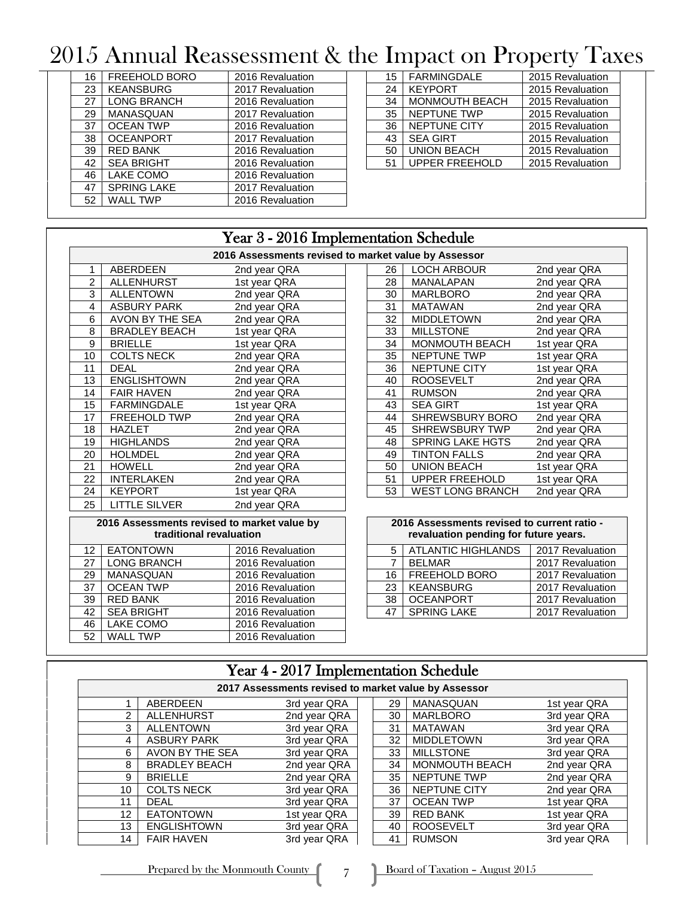# 2015 Annual Reassessment & the Impact on Property Taxes

| 16 | <b>FREEHOLD BORO</b> | 2016 Revaluation | 15 | <b>FARMINGDALE</b>    | 2015 Revaluation |
|----|----------------------|------------------|----|-----------------------|------------------|
| 23 | <b>KEANSBURG</b>     | 2017 Revaluation | 24 | <b>KEYPORT</b>        | 2015 Revaluation |
| 27 | LONG BRANCH          | 2016 Revaluation | 34 | <b>MONMOUTH BEACH</b> | 2015 Revaluation |
| 29 | <b>MANASQUAN</b>     | 2017 Revaluation | 35 | <b>NEPTUNE TWP</b>    | 2015 Revaluation |
| 37 | <b>OCEAN TWP</b>     | 2016 Revaluation | 36 | NEPTUNE CITY          | 2015 Revaluation |
| 38 | <b>OCEANPORT</b>     | 2017 Revaluation | 43 | <b>SEA GIRT</b>       | 2015 Revaluation |
| 39 | <b>RED BANK</b>      | 2016 Revaluation | 50 | <b>UNION BEACH</b>    | 2015 Revaluation |
| 42 | <b>SEA BRIGHT</b>    | 2016 Revaluation | 51 | <b>UPPER FREEHOLD</b> | 2015 Revaluation |
| 46 | LAKE COMO            | 2016 Revaluation |    |                       |                  |
| 47 | <b>SPRING LAKE</b>   | 2017 Revaluation |    |                       |                  |
| 52 | WALL TWP             | 2016 Revaluation |    |                       |                  |
|    |                      |                  |    |                       |                  |

| 15 | <b>FARMINGDALE</b>    | 2015 Revaluation |
|----|-----------------------|------------------|
| 24 | <b>KEYPORT</b>        | 2015 Revaluation |
| 34 | <b>MONMOUTH BEACH</b> | 2015 Revaluation |
| 35 | <b>NEPTUNE TWP</b>    | 2015 Revaluation |
| 36 | NEPTUNE CITY          | 2015 Revaluation |
| 43 | <b>SEA GIRT</b>       | 2015 Revaluation |
| 50 | <b>UNION BEACH</b>    | 2015 Revaluation |
| 51 | <b>UPPER FREEHOLD</b> | 2015 Revaluation |
|    |                       |                  |

| Year 3 - 2016 Implementation Schedule |                                             |                                                      |  |                                             |                                       |                  |
|---------------------------------------|---------------------------------------------|------------------------------------------------------|--|---------------------------------------------|---------------------------------------|------------------|
|                                       |                                             | 2016 Assessments revised to market value by Assessor |  |                                             |                                       |                  |
| 1                                     | ABERDEEN                                    | 2nd year QRA                                         |  | 26                                          | <b>LOCH ARBOUR</b>                    | 2nd year QRA     |
| $\overline{2}$                        | <b>ALLENHURST</b>                           | 1st year QRA                                         |  | 28                                          | <b>MANALAPAN</b>                      | 2nd year QRA     |
| 3                                     | <b>ALLENTOWN</b>                            | 2nd year QRA                                         |  | 30                                          | <b>MARLBORO</b>                       | 2nd year QRA     |
| $\overline{4}$                        | <b>ASBURY PARK</b>                          | 2nd year QRA                                         |  | 31                                          | <b>MATAWAN</b>                        | 2nd year QRA     |
| 6                                     | AVON BY THE SEA                             | 2nd year QRA                                         |  | 32                                          | <b>MIDDLETOWN</b>                     | 2nd year QRA     |
| 8                                     | <b>BRADLEY BEACH</b>                        | 1st year QRA                                         |  | 33                                          | <b>MILLSTONE</b>                      | 2nd year QRA     |
| 9                                     | <b>BRIELLE</b>                              | 1st year QRA                                         |  | 34                                          | MONMOUTH BEACH                        | 1st year QRA     |
| 10                                    | <b>COLTS NECK</b>                           | 2nd year QRA                                         |  | 35                                          | <b>NEPTUNE TWP</b>                    | 1st year QRA     |
| 11                                    | <b>DEAL</b>                                 | 2nd year QRA                                         |  | 36                                          | NEPTUNE CITY                          | 1st year QRA     |
| 13                                    | <b>ENGLISHTOWN</b>                          | 2nd year QRA                                         |  | 40                                          | <b>ROOSEVELT</b>                      | 2nd year QRA     |
| 14                                    | <b>FAIR HAVEN</b>                           | 2nd year QRA                                         |  | 41                                          | <b>RUMSON</b>                         | 2nd year QRA     |
| 15                                    | <b>FARMINGDALE</b>                          | 1st year QRA                                         |  | 43                                          | <b>SEA GIRT</b>                       | 1st year QRA     |
| 17                                    | <b>FREEHOLD TWP</b>                         | 2nd year QRA                                         |  | 44                                          | SHREWSBURY BORO                       | 2nd year QRA     |
| 18                                    | <b>HAZLET</b>                               | 2nd year QRA                                         |  | 45                                          | <b>SHREWSBURY TWP</b>                 | 2nd year QRA     |
| 19                                    | <b>HIGHLANDS</b>                            | 2nd year QRA                                         |  | 48                                          | <b>SPRING LAKE HGTS</b>               | 2nd year QRA     |
| 20                                    | <b>HOLMDEL</b>                              | 2nd year QRA                                         |  | 49                                          | <b>TINTON FALLS</b>                   | 2nd year QRA     |
| 21                                    | <b>HOWELL</b>                               | 2nd year QRA                                         |  | 50                                          | <b>UNION BEACH</b>                    | 1st year QRA     |
| 22                                    | <b>INTERLAKEN</b>                           | 2nd year QRA                                         |  | 51                                          | <b>UPPER FREEHOLD</b>                 | 1st year QRA     |
| 24                                    | <b>KEYPORT</b>                              | 1st year QRA                                         |  | 53                                          | <b>WEST LONG BRANCH</b>               | 2nd year QRA     |
| 25                                    | <b>LITTLE SILVER</b>                        | 2nd year QRA                                         |  |                                             |                                       |                  |
|                                       | 2016 Assessments revised to market value by |                                                      |  | 2016 Assessments revised to current ratio - |                                       |                  |
|                                       | traditional revaluation                     |                                                      |  |                                             | revaluation pending for future years. |                  |
| $12 \overline{ }$                     | <b>EATONTOWN</b>                            | 2016 Revaluation                                     |  | 5                                           | <b>ATLANTIC HIGHLANDS</b>             | 2017 Revaluation |
| 27                                    | <b>LONG BRANCH</b>                          | 2016 Revaluation                                     |  | $\overline{7}$                              | <b>BELMAR</b>                         | 2017 Revaluation |
| 29                                    | MANASQUAN                                   | 2016 Revaluation                                     |  | 16                                          | FREEHOLD BORO                         | 2017 Revaluation |
| $\overline{37}$                       | <b>OCEAN TWP</b>                            | 2016 Revaluation                                     |  | 23                                          | <b>KEANSBURG</b>                      | 2017 Revaluation |

37 OCEAN TWP 2016 Revaluation<br>39 RED BANK 2016 Revaluation 39 RED BANK 2016 Revaluation<br>42 SEA BRIGHT 2016 Revaluation

46 LAKE COMO<br>52 WALL TWP

2016 Revaluation<br>2016 Revaluation

2016 Revaluation

| arket value by Assessor |                         |              |  |  |
|-------------------------|-------------------------|--------------|--|--|
| 26.                     | <b>LOCH ARBOUR</b>      | 2nd year QRA |  |  |
| 28                      | MANALAPAN               | 2nd year QRA |  |  |
| 30                      | <b>MARLBORO</b>         | 2nd year QRA |  |  |
| 31                      | <b>MATAWAN</b>          | 2nd year QRA |  |  |
| 32                      | <b>MIDDLETOWN</b>       | 2nd year QRA |  |  |
| 33                      | <b>MILLSTONE</b>        | 2nd year QRA |  |  |
| 34                      | <b>MONMOUTH BEACH</b>   | 1st year QRA |  |  |
| 35                      | <b>NEPTUNE TWP</b>      | 1st year QRA |  |  |
| 36                      | <b>NEPTUNE CITY</b>     | 1st year QRA |  |  |
| 40                      | <b>ROOSEVELT</b>        | 2nd year QRA |  |  |
| 41                      | <b>RUMSON</b>           | 2nd year QRA |  |  |
| 43                      | <b>SEA GIRT</b>         | 1st year QRA |  |  |
| 44                      | SHREWSBURY BORO         | 2nd year QRA |  |  |
| 45                      | <b>SHREWSBURY TWP</b>   | 2nd year QRA |  |  |
| 48                      | <b>SPRING LAKE HGTS</b> | 2nd year QRA |  |  |
| 49                      | <b>TINTON FALLS</b>     | 2nd year QRA |  |  |
| 50                      | <b>UNION BEACH</b>      | 1st year QRA |  |  |
| 51                      | UPPER FREEHOLD          | 1st year QRA |  |  |
| 53                      | <b>WEST LONG BRANCH</b> | 2nd year QRA |  |  |

┑

| 2016 Assessments revised to current ratio -<br>revaluation pending for future years. |                           |                  |  |  |  |  |
|--------------------------------------------------------------------------------------|---------------------------|------------------|--|--|--|--|
| 5                                                                                    | <b>ATLANTIC HIGHLANDS</b> | 2017 Revaluation |  |  |  |  |
|                                                                                      | <b>BELMAR</b>             | 2017 Revaluation |  |  |  |  |
| 16                                                                                   | <b>FREEHOLD BORO</b>      | 2017 Revaluation |  |  |  |  |
| 23                                                                                   | <b>KEANSBURG</b>          | 2017 Revaluation |  |  |  |  |
| 38                                                                                   | <b>OCEANPORT</b>          | 2017 Revaluation |  |  |  |  |
| 47                                                                                   | <b>SPRING LAKE</b>        | 2017 Revaluation |  |  |  |  |

| Year 4 - 2017 Implementation Schedule                |                      |              |  |    |                       |              |  |  |
|------------------------------------------------------|----------------------|--------------|--|----|-----------------------|--------------|--|--|
| 2017 Assessments revised to market value by Assessor |                      |              |  |    |                       |              |  |  |
|                                                      | ABERDEEN             | 3rd year QRA |  | 29 | <b>MANASQUAN</b>      | 1st year QRA |  |  |
| $\mathcal{P}$                                        | <b>ALLENHURST</b>    | 2nd year QRA |  | 30 | <b>MARLBORO</b>       | 3rd year QRA |  |  |
| 3                                                    | <b>ALLENTOWN</b>     | 3rd year QRA |  | 31 | <b>MATAWAN</b>        | 3rd year QRA |  |  |
| 4                                                    | <b>ASBURY PARK</b>   | 3rd year QRA |  | 32 | <b>MIDDLETOWN</b>     | 3rd year QRA |  |  |
| 6                                                    | AVON BY THE SEA      | 3rd year QRA |  | 33 | <b>MILLSTONE</b>      | 3rd year QRA |  |  |
| 8                                                    | <b>BRADLEY BEACH</b> | 2nd year QRA |  | 34 | <b>MONMOUTH BEACH</b> | 2nd year QRA |  |  |
| 9                                                    | <b>BRIELLE</b>       | 2nd year QRA |  | 35 | <b>NEPTUNE TWP</b>    | 2nd year QRA |  |  |
| 10                                                   | <b>COLTS NECK</b>    | 3rd year QRA |  | 36 | <b>NEPTUNE CITY</b>   | 2nd year QRA |  |  |
| 11                                                   | <b>DEAL</b>          | 3rd year QRA |  | 37 | <b>OCEAN TWP</b>      | 1st year QRA |  |  |
| $12 \overline{ }$                                    | <b>EATONTOWN</b>     | 1st year QRA |  | 39 | <b>RED BANK</b>       | 1st year QRA |  |  |
| 13                                                   | <b>ENGLISHTOWN</b>   | 3rd year QRA |  | 40 | <b>ROOSEVELT</b>      | 3rd year QRA |  |  |
| 14                                                   | <b>FAIR HAVEN</b>    | 3rd year QRA |  | 41 | <b>RUMSON</b>         | 3rd year QRA |  |  |

Prepared by the Monmouth County  $\begin{bmatrix} 7 & \end{bmatrix}$  Board of Taxation – August 2015